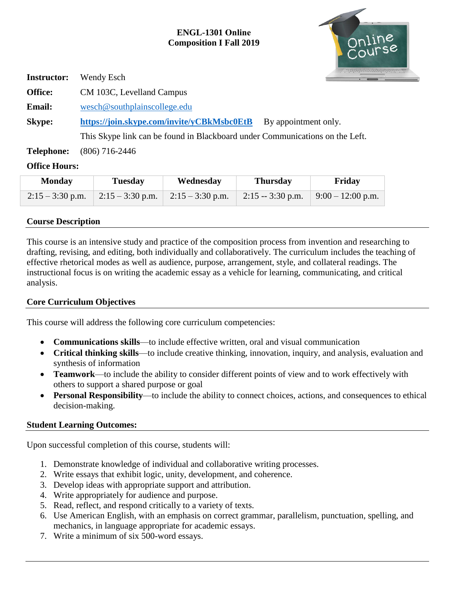# **ENGL-1301 Online Composition I Fall 2019**



| <b>Instructor:</b> | Wendy Esch                                                                   | <b>SERVICES</b>      |
|--------------------|------------------------------------------------------------------------------|----------------------|
| Office:            | CM 103C, Levelland Campus                                                    |                      |
| <b>Email:</b>      | wesch@southplainscollege.edu                                                 |                      |
| <b>Skype:</b>      | https://join.skype.com/invite/yCBkMsbc0EtB                                   | By appointment only. |
|                    | This Skype link can be found in Blackboard under Communications on the Left. |                      |
| <b>Telephone:</b>  | (806) 716-2446                                                               |                      |

## **Office Hours:**

| <b>Monday</b>      | <b>Tuesday</b>                      | Wednesday | <b>Thursday</b>                       | Friday |
|--------------------|-------------------------------------|-----------|---------------------------------------|--------|
| $2:15 - 3:30$ p.m. | 2:15 – 3:30 p.m.   2:15 – 3:30 p.m. |           | 2:15 -- 3:30 p.m. $9:00 - 12:00$ p.m. |        |

## **Course Description**

This course is an intensive study and practice of the composition process from invention and researching to drafting, revising, and editing, both individually and collaboratively. The curriculum includes the teaching of effective rhetorical modes as well as audience, purpose, arrangement, style, and collateral readings. The instructional focus is on writing the academic essay as a vehicle for learning, communicating, and critical analysis.

## **Core Curriculum Objectives**

This course will address the following core curriculum competencies:

- **Communications skills**—to include effective written, oral and visual communication
- **Critical thinking skills**—to include creative thinking, innovation, inquiry, and analysis, evaluation and synthesis of information
- **Teamwork**—to include the ability to consider different points of view and to work effectively with others to support a shared purpose or goal
- **Personal Responsibility**—to include the ability to connect choices, actions, and consequences to ethical decision-making.

#### **Student Learning Outcomes:**

Upon successful completion of this course, students will:

- 1. Demonstrate knowledge of individual and collaborative writing processes.
- 2. Write essays that exhibit logic, unity, development, and coherence.
- 3. Develop ideas with appropriate support and attribution.
- 4. Write appropriately for audience and purpose.
- 5. Read, reflect, and respond critically to a variety of texts.
- 6. Use American English, with an emphasis on correct grammar, parallelism, punctuation, spelling, and mechanics, in language appropriate for academic essays.
- 7. Write a minimum of six 500-word essays.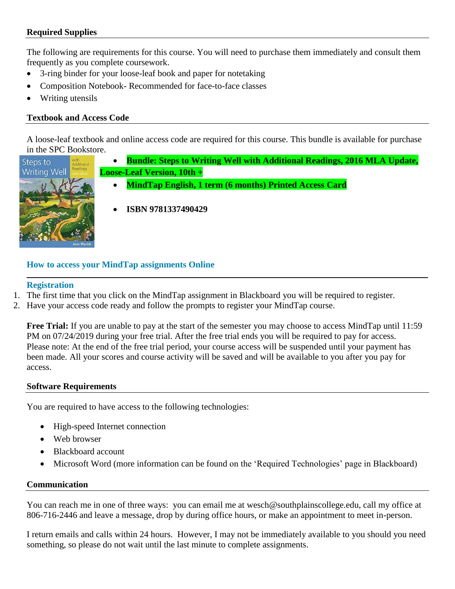## **Required Supplies**

The following are requirements for this course. You will need to purchase them immediately and consult them frequently as you complete coursework.

- 3-ring binder for your loose-leaf book and paper for notetaking
- Composition Notebook- Recommended for face-to-face classes
- Writing utensils

## **Textbook and Access Code**

A loose-leaf textbook and online access code are required for this course. This bundle is available for purchase in the SPC Bookstore.



## **How to access your MindTap assignments Online**

#### **Registration**

- 1. The first time that you click on the MindTap assignment in Blackboard you will be required to register.
- 2. Have your access code ready and follow the prompts to register your MindTap course.

**Free Trial:** If you are unable to pay at the start of the semester you may choose to access MindTap until 11:59 PM on 07/24/2019 during your free trial. After the free trial ends you will be required to pay for access. Please note: At the end of the free trial period, your course access will be suspended until your payment has been made. All your scores and course activity will be saved and will be available to you after you pay for access.

#### **Software Requirements**

You are required to have access to the following technologies:

- High-speed Internet connection
- Web browser
- Blackboard account
- Microsoft Word (more information can be found on the 'Required Technologies' page in Blackboard)

#### **Communication**

You can reach me in one of three ways: you can email me at wesch@southplainscollege.edu, call my office at 806-716-2446 and leave a message, drop by during office hours, or make an appointment to meet in-person.

I return emails and calls within 24 hours. However, I may not be immediately available to you should you need something, so please do not wait until the last minute to complete assignments.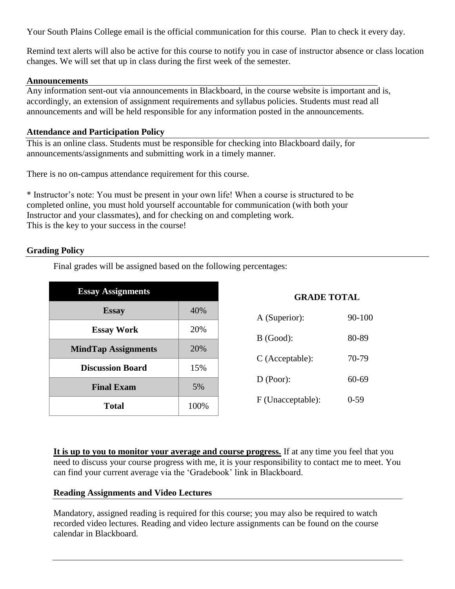Your South Plains College email is the official communication for this course. Plan to check it every day.

Remind text alerts will also be active for this course to notify you in case of instructor absence or class location changes. We will set that up in class during the first week of the semester.

#### **Announcements**

Any information sent-out via announcements in Blackboard, in the course website is important and is, accordingly, an extension of assignment requirements and syllabus policies. Students must read all announcements and will be held responsible for any information posted in the announcements.

#### **Attendance and Participation Policy**

This is an online class. Students must be responsible for checking into Blackboard daily, for announcements/assignments and submitting work in a timely manner.

There is no on-campus attendance requirement for this course.

\* Instructor's note: You must be present in your own life! When a course is structured to be completed online, you must hold yourself accountable for communication (with both your Instructor and your classmates), and for checking on and completing work. This is the key to your success in the course!

## **Grading Policy**

Final grades will be assigned based on the following percentages:

| <b>Essay Assignments</b>   |      |
|----------------------------|------|
| <b>Essay</b>               | 40%  |
| <b>Essay Work</b>          | 20%  |
| <b>MindTap Assignments</b> | 20%  |
| <b>Discussion Board</b>    | 15%  |
| <b>Final Exam</b>          | 5%   |
| <b>Total</b>               | 100% |

# **GRADE TOTAL**

| A (Superior):     | $90 - 100$ |
|-------------------|------------|
| B(Good):          | 80-89      |
| C (Acceptable):   | 70-79      |
| D (Poor):         | 60-69      |
| F (Unacceptable): | $(1 - 59)$ |

**It is up to you to monitor your average and course progress.** If at any time you feel that you need to discuss your course progress with me, it is your responsibility to contact me to meet. You can find your current average via the 'Gradebook' link in Blackboard.

#### **Reading Assignments and Video Lectures**

Mandatory, assigned reading is required for this course; you may also be required to watch recorded video lectures. Reading and video lecture assignments can be found on the course calendar in Blackboard.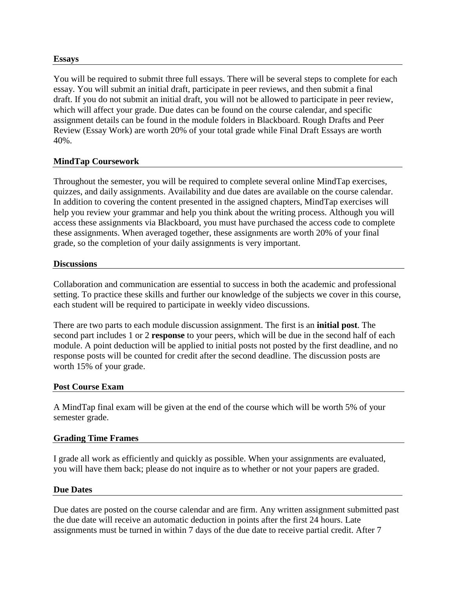#### **Essays**

You will be required to submit three full essays. There will be several steps to complete for each essay. You will submit an initial draft, participate in peer reviews, and then submit a final draft. If you do not submit an initial draft, you will not be allowed to participate in peer review, which will affect your grade. Due dates can be found on the course calendar, and specific assignment details can be found in the module folders in Blackboard. Rough Drafts and Peer Review (Essay Work) are worth 20% of your total grade while Final Draft Essays are worth 40%.

## **MindTap Coursework**

Throughout the semester, you will be required to complete several online MindTap exercises, quizzes, and daily assignments. Availability and due dates are available on the course calendar. In addition to covering the content presented in the assigned chapters, MindTap exercises will help you review your grammar and help you think about the writing process. Although you will access these assignments via Blackboard, you must have purchased the access code to complete these assignments. When averaged together, these assignments are worth 20% of your final grade, so the completion of your daily assignments is very important.

#### **Discussions**

Collaboration and communication are essential to success in both the academic and professional setting. To practice these skills and further our knowledge of the subjects we cover in this course, each student will be required to participate in weekly video discussions.

There are two parts to each module discussion assignment. The first is an **initial post**. The second part includes 1 or 2 **response** to your peers, which will be due in the second half of each module. A point deduction will be applied to initial posts not posted by the first deadline, and no response posts will be counted for credit after the second deadline. The discussion posts are worth 15% of your grade.

#### **Post Course Exam**

A MindTap final exam will be given at the end of the course which will be worth 5% of your semester grade.

#### **Grading Time Frames**

I grade all work as efficiently and quickly as possible. When your assignments are evaluated, you will have them back; please do not inquire as to whether or not your papers are graded.

#### **Due Dates**

Due dates are posted on the course calendar and are firm. Any written assignment submitted past the due date will receive an automatic deduction in points after the first 24 hours. Late assignments must be turned in within 7 days of the due date to receive partial credit. After 7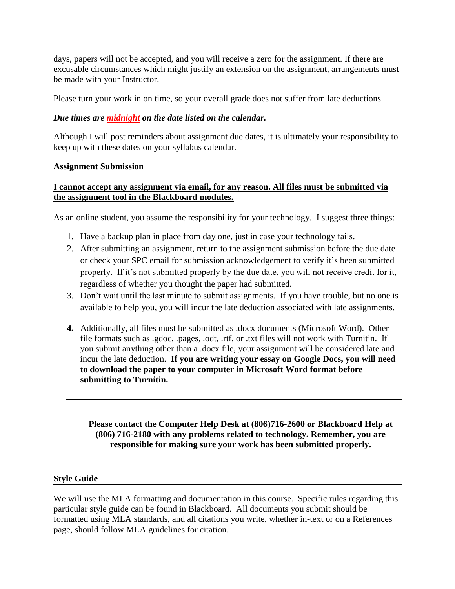days, papers will not be accepted, and you will receive a zero for the assignment. If there are excusable circumstances which might justify an extension on the assignment, arrangements must be made with your Instructor.

Please turn your work in on time, so your overall grade does not suffer from late deductions.

## *Due times are midnight on the date listed on the calendar.*

Although I will post reminders about assignment due dates, it is ultimately your responsibility to keep up with these dates on your syllabus calendar.

#### **Assignment Submission**

## **I cannot accept any assignment via email, for any reason. All files must be submitted via the assignment tool in the Blackboard modules.**

As an online student, you assume the responsibility for your technology. I suggest three things:

- 1. Have a backup plan in place from day one, just in case your technology fails.
- 2. After submitting an assignment, return to the assignment submission before the due date or check your SPC email for submission acknowledgement to verify it's been submitted properly. If it's not submitted properly by the due date, you will not receive credit for it, regardless of whether you thought the paper had submitted.
- 3. Don't wait until the last minute to submit assignments. If you have trouble, but no one is available to help you, you will incur the late deduction associated with late assignments.
- **4.** Additionally, all files must be submitted as .docx documents (Microsoft Word). Other file formats such as .gdoc, .pages, .odt, .rtf, or .txt files will not work with Turnitin. If you submit anything other than a .docx file, your assignment will be considered late and incur the late deduction. **If you are writing your essay on Google Docs, you will need to download the paper to your computer in Microsoft Word format before submitting to Turnitin.**

**Please contact the Computer Help Desk at (806)716-2600 or Blackboard Help at (806) 716-2180 with any problems related to technology. Remember, you are responsible for making sure your work has been submitted properly.**

#### **Style Guide**

We will use the MLA formatting and documentation in this course. Specific rules regarding this particular style guide can be found in Blackboard. All documents you submit should be formatted using MLA standards, and all citations you write, whether in-text or on a References page, should follow MLA guidelines for citation.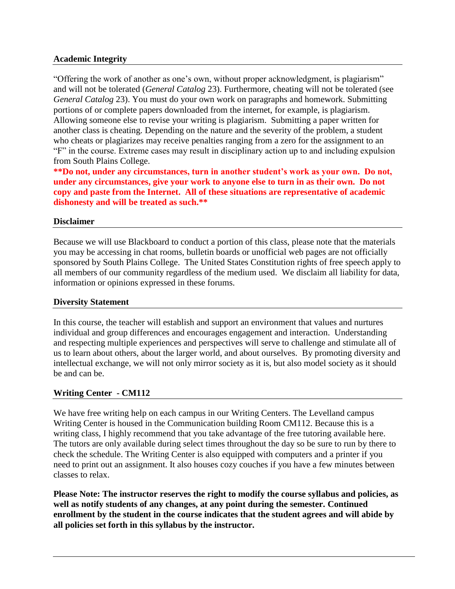## **Academic Integrity**

"Offering the work of another as one's own, without proper acknowledgment, is plagiarism" and will not be tolerated (*General Catalog* 23). Furthermore, cheating will not be tolerated (see *General Catalog* 23). You must do your own work on paragraphs and homework. Submitting portions of or complete papers downloaded from the internet, for example, is plagiarism. Allowing someone else to revise your writing is plagiarism. Submitting a paper written for another class is cheating. Depending on the nature and the severity of the problem, a student who cheats or plagiarizes may receive penalties ranging from a zero for the assignment to an "F" in the course. Extreme cases may result in disciplinary action up to and including expulsion from South Plains College.

**\*\*Do not, under any circumstances, turn in another student's work as your own. Do not, under any circumstances, give your work to anyone else to turn in as their own. Do not copy and paste from the Internet. All of these situations are representative of academic dishonesty and will be treated as such.\*\***

## **Disclaimer**

Because we will use Blackboard to conduct a portion of this class, please note that the materials you may be accessing in chat rooms, bulletin boards or unofficial web pages are not officially sponsored by South Plains College. The United States Constitution rights of free speech apply to all members of our community regardless of the medium used. We disclaim all liability for data, information or opinions expressed in these forums.

#### **Diversity Statement**

In this course, the teacher will establish and support an environment that values and nurtures individual and group differences and encourages engagement and interaction. Understanding and respecting multiple experiences and perspectives will serve to challenge and stimulate all of us to learn about others, about the larger world, and about ourselves. By promoting diversity and intellectual exchange, we will not only mirror society as it is, but also model society as it should be and can be.

#### **Writing Center - CM112**

We have free writing help on each campus in our Writing Centers. The Levelland campus Writing Center is housed in the Communication building Room CM112. Because this is a writing class, I highly recommend that you take advantage of the free tutoring available here. The tutors are only available during select times throughout the day so be sure to run by there to check the schedule. The Writing Center is also equipped with computers and a printer if you need to print out an assignment. It also houses cozy couches if you have a few minutes between classes to relax.

**Please Note: The instructor reserves the right to modify the course syllabus and policies, as well as notify students of any changes, at any point during the semester. Continued enrollment by the student in the course indicates that the student agrees and will abide by all policies set forth in this syllabus by the instructor.**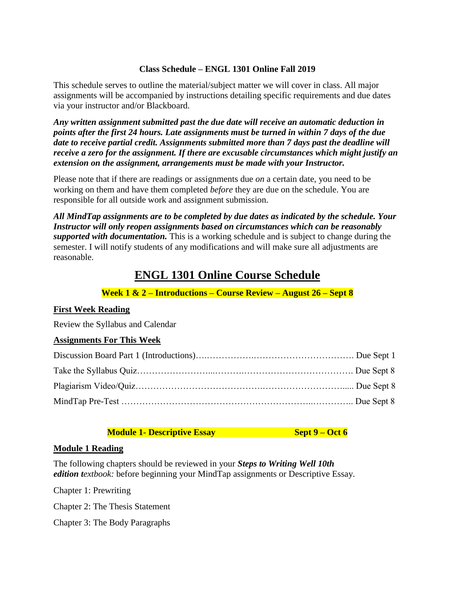## **Class Schedule – ENGL 1301 Online Fall 2019**

This schedule serves to outline the material/subject matter we will cover in class. All major assignments will be accompanied by instructions detailing specific requirements and due dates via your instructor and/or Blackboard.

*Any written assignment submitted past the due date will receive an automatic deduction in points after the first 24 hours. Late assignments must be turned in within 7 days of the due date to receive partial credit. Assignments submitted more than 7 days past the deadline will receive a zero for the assignment. If there are excusable circumstances which might justify an extension on the assignment, arrangements must be made with your Instructor.* 

Please note that if there are readings or assignments due *on* a certain date, you need to be working on them and have them completed *before* they are due on the schedule. You are responsible for all outside work and assignment submission.

*All MindTap assignments are to be completed by due dates as indicated by the schedule. Your Instructor will only reopen assignments based on circumstances which can be reasonably supported with documentation.* This is a working schedule and is subject to change during the semester. I will notify students of any modifications and will make sure all adjustments are reasonable.

# **ENGL 1301 Online Course Schedule**

## **Week 1 & 2 – Introductions – Course Review – August 26 – Sept 8**

## **First Week Reading**

Review the Syllabus and Calendar

#### **Assignments For This Week**

#### **Module 1- Descriptive Essay Sept 9 – Oct 6**

#### **Module 1 Reading**

The following chapters should be reviewed in your *Steps to Writing Well 10th edition textbook:* before beginning your MindTap assignments or Descriptive Essay.

Chapter 1: Prewriting

Chapter 2: The Thesis Statement

Chapter 3: The Body Paragraphs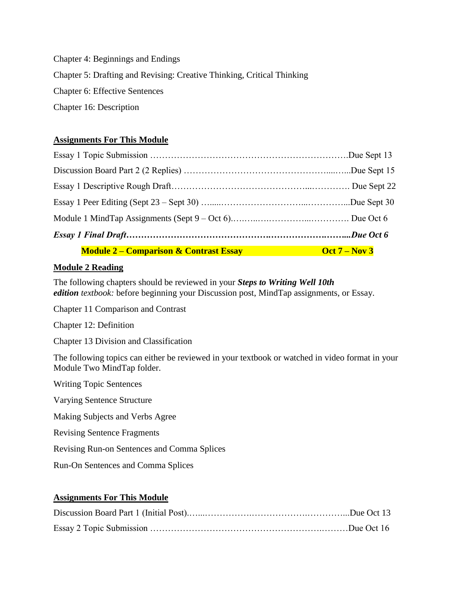Chapter 4: Beginnings and Endings Chapter 5: Drafting and Revising: Creative Thinking, Critical Thinking Chapter 6: Effective Sentences Chapter 16: Description

## **Assignments For This Module**

| <b>Module 2 – Comparison &amp; Contrast Essay</b> | <b>Solution 1.1</b> Oct 7 – Nov 3 |
|---------------------------------------------------|-----------------------------------|
|                                                   |                                   |
|                                                   |                                   |
|                                                   |                                   |
|                                                   |                                   |
|                                                   |                                   |
|                                                   |                                   |

## **Module 2 Reading**

The following chapters should be reviewed in your *Steps to Writing Well 10th edition textbook:* before beginning your Discussion post, MindTap assignments, or Essay.

Chapter 11 Comparison and Contrast

Chapter 12: Definition

Chapter 13 Division and Classification

The following topics can either be reviewed in your textbook or watched in video format in your Module Two MindTap folder.

Writing Topic Sentences

Varying Sentence Structure

Making Subjects and Verbs Agree

Revising Sentence Fragments

Revising Run-on Sentences and Comma Splices

Run-On Sentences and Comma Splices

## **Assignments For This Module**